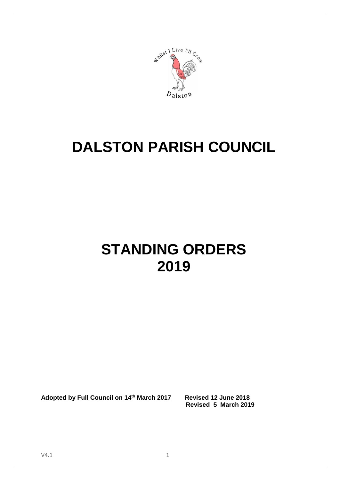

# **DALSTON PARISH COUNCIL**

# **STANDING ORDERS 2019**

**Adopted by Full Council on 14th March 2017 Revised 12 June 2018**

 **Revised 5 March 2019**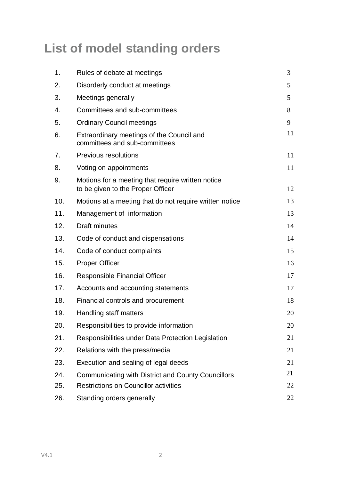# **List of model standing orders**

| 1.  | Rules of debate at meetings                                                            | 3  |
|-----|----------------------------------------------------------------------------------------|----|
| 2.  | Disorderly conduct at meetings                                                         | 5  |
| 3.  | Meetings generally                                                                     | 5  |
| 4.  | Committees and sub-committees                                                          | 8  |
| 5.  | <b>Ordinary Council meetings</b>                                                       | 9  |
| 6.  | Extraordinary meetings of the Council and<br>committees and sub-committees             | 11 |
| 7.  | <b>Previous resolutions</b>                                                            | 11 |
| 8.  | Voting on appointments                                                                 | 11 |
| 9.  | Motions for a meeting that require written notice<br>to be given to the Proper Officer | 12 |
| 10. | Motions at a meeting that do not require written notice                                | 13 |
| 11. | Management of information                                                              | 13 |
| 12. | <b>Draft minutes</b>                                                                   | 14 |
| 13. | Code of conduct and dispensations                                                      | 14 |
| 14. | Code of conduct complaints                                                             | 15 |
| 15. | <b>Proper Officer</b>                                                                  | 16 |
| 16. | Responsible Financial Officer                                                          | 17 |
| 17. | Accounts and accounting statements                                                     | 17 |
| 18. | Financial controls and procurement                                                     | 18 |
| 19. | Handling staff matters                                                                 | 20 |
| 20. | Responsibilities to provide information                                                | 20 |
| 21. | Responsibilities under Data Protection Legislation                                     | 21 |
| 22. | Relations with the press/media                                                         | 21 |
| 23. | Execution and sealing of legal deeds                                                   | 21 |
| 24. | <b>Communicating with District and County Councillors</b>                              | 21 |
| 25. | <b>Restrictions on Councillor activities</b>                                           | 22 |
| 26. | Standing orders generally                                                              | 22 |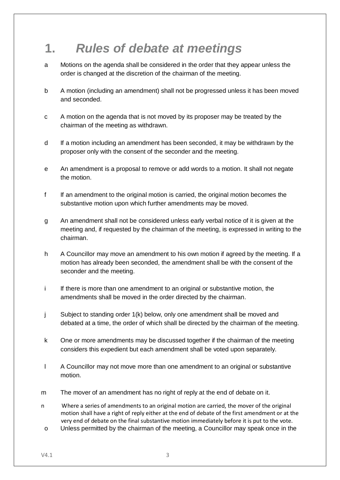## **1.** *Rules of debate at meetings*

- a Motions on the agenda shall be considered in the order that they appear unless the order is changed at the discretion of the chairman of the meeting.
- b A motion (including an amendment) shall not be progressed unless it has been moved and seconded.
- c A motion on the agenda that is not moved by its proposer may be treated by the chairman of the meeting as withdrawn.
- d If a motion including an amendment has been seconded, it may be withdrawn by the proposer only with the consent of the seconder and the meeting.
- e An amendment is a proposal to remove or add words to a motion. It shall not negate the motion.
- f If an amendment to the original motion is carried, the original motion becomes the substantive motion upon which further amendments may be moved.
- g An amendment shall not be considered unless early verbal notice of it is given at the meeting and, if requested by the chairman of the meeting, is expressed in writing to the chairman.
- h A Councillor may move an amendment to his own motion if agreed by the meeting. If a motion has already been seconded, the amendment shall be with the consent of the seconder and the meeting.
- i If there is more than one amendment to an original or substantive motion, the amendments shall be moved in the order directed by the chairman.
- j Subject to standing order 1(k) below, only one amendment shall be moved and debated at a time, the order of which shall be directed by the chairman of the meeting.
- k One or more amendments may be discussed together if the chairman of the meeting considers this expedient but each amendment shall be voted upon separately.
- l A Councillor may not move more than one amendment to an original or substantive motion.
- m The mover of an amendment has no right of reply at the end of debate on it.
- n Where a series of amendments to an original motion are carried, the mover of the original motion shall have a right of reply either at the end of debate of the first amendment or at the very end of debate on the final substantive motion immediately before it is put to the vote.
- o Unless permitted by the chairman of the meeting, a Councillor may speak once in the

 $V4.1$  3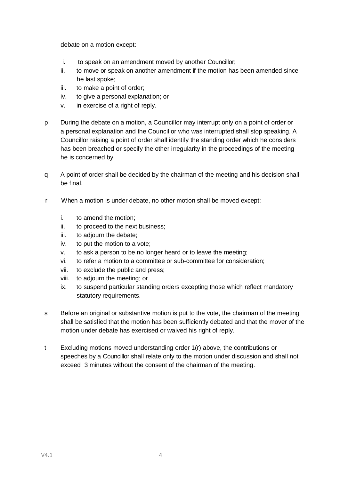debate on a motion except:

- i. to speak on an amendment moved by another Councillor;
- ii. to move or speak on another amendment if the motion has been amended since he last spoke;
- iii. to make a point of order;
- iv. to give a personal explanation; or
- v. in exercise of a right of reply.
- p During the debate on a motion, a Councillor may interrupt only on a point of order or a personal explanation and the Councillor who was interrupted shall stop speaking. A Councillor raising a point of order shall identify the standing order which he considers has been breached or specify the other irregularity in the proceedings of the meeting he is concerned by.
- q A point of order shall be decided by the chairman of the meeting and his decision shall be final.
- r When a motion is under debate, no other motion shall be moved except:
	- i. to amend the motion;
	- ii. to proceed to the next business;
	- iii. to adjourn the debate;
	- iv. to put the motion to a vote;
	- v. to ask a person to be no longer heard or to leave the meeting;
	- vi. to refer a motion to a committee or sub-committee for consideration;
	- vii. to exclude the public and press;
	- viii. to adjourn the meeting; or
	- ix. to suspend particular standing orders excepting those which reflect mandatory statutory requirements.
- s Before an original or substantive motion is put to the vote, the chairman of the meeting shall be satisfied that the motion has been sufficiently debated and that the mover of the motion under debate has exercised or waived his right of reply.
- t Excluding motions moved understanding order 1(r) above, the contributions or speeches by a Councillor shall relate only to the motion under discussion and shall not exceed 3 minutes without the consent of the chairman of the meeting.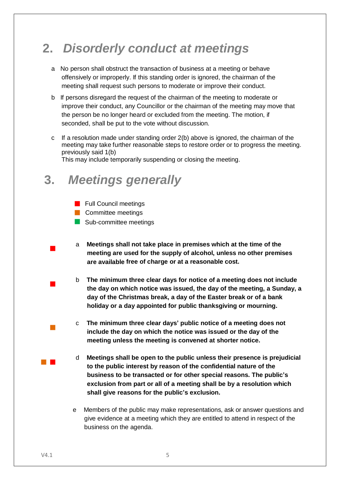# **2.** *Disorderly conduct at meetings*

- a No person shall obstruct the transaction of business at a meeting or behave offensively or improperly. If this standing order is ignored, the chairman of the meeting shall request such persons to moderate or improve their conduct.
- b If persons disregard the request of the chairman of the meeting to moderate or improve their conduct, any Councillor or the chairman of the meeting may move that the person be no longer heard or excluded from the meeting. The motion, if seconded, shall be put to the vote without discussion.
- c If a resolution made under standing order 2(b) above is ignored, the chairman of the meeting may take further reasonable steps to restore order or to progress the meeting. previously said 1(b)

This may include temporarily suspending or closing the meeting.

### **3.** *Meetings generally*

- **Full Council meetings**
- **Committee meetings**
- Sub-committee meetings
- $\mathcal{L}_{\mathcal{A}}$ a **Meetings shall not take place in premises which at the time of the meeting are used for the supply of alcohol, unless no other premises are available free of charge or at a reasonable cost.**
	- b **The minimum three clear days for notice of a meeting does not include the day on which notice was issued, the day of the meeting, a Sunday, a day of the Christmas break, a day of the Easter break or of a bank holiday or a day appointed for public thanksgiving or mourning.**
		- c **The minimum three clear days' public notice of a meeting does not include the day on which the notice was issued or the day of the meeting unless the meeting is convened at shorter notice.**
		- d **Meetings shall be open to the public unless their presence is prejudicial to the public interest by reason of the confidential nature of the business to be transacted or for other special reasons. The public's exclusion from part or all of a meeting shall be by a resolution which shall give reasons for the public's exclusion.**
			- e Members of the public may make representations, ask or answer questions and give evidence at a meeting which they are entitled to attend in respect of the business on the agenda.

 $\mathcal{L}_{\rm{max}}$ 

 $\mathcal{L}_{\mathcal{A}}$ 

 $\mathcal{L}_{\text{max}}$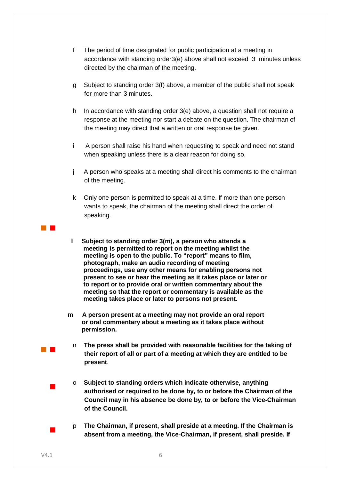- f The period of time designated for public participation at a meeting in accordance with standing order3(e) above shall not exceed 3 minutes unless directed by the chairman of the meeting.
- g Subject to standing order 3(f) above, a member of the public shall not speak for more than 3 minutes.
- h In accordance with standing order 3(e) above, a question shall not require a response at the meeting nor start a debate on the question. The chairman of the meeting may direct that a written or oral response be given.
- i A person shall raise his hand when requesting to speak and need not stand when speaking unless there is a clear reason for doing so.
- j A person who speaks at a meeting shall direct his comments to the chairman of the meeting.
- k Only one person is permitted to speak at a time. If more than one person wants to speak, the chairman of the meeting shall direct the order of speaking.
- **l Subject to standing order 3(m), a person who attends a meeting is permitted to report on the meeting whilst the meeting is open to the public. To "report" means to film, photograph, make an audio recording of meeting proceedings, use any other means for enabling persons not present to see or hear the meeting as it takes place or later or to report or to provide oral or written commentary about the meeting so that the report or commentary is available as the meeting takes place or later to persons not present.**
- **m A person present at a meeting may not provide an oral report or oral commentary about a meeting as it takes place without permission.**
- n **The press shall be provided with reasonable facilities for the taking of their report of all or part of a meeting at which they are entitled to be present**.
- o **Subject to standing orders which indicate otherwise, anything authorised or required to be done by, to or before the Chairman of the Council may in his absence be done by, to or before the Vice-Chairman of the Council.**
- p **The Chairman, if present, shall preside at a meeting. If the Chairman is absent from a meeting, the Vice-Chairman, if present, shall preside. If**

 $\mathcal{L}_{\text{max}}$ 

 $\mathcal{L}_{\rm{max}}$ 

 $\mathcal{L}_{\text{max}}$ 

 $\mathcal{L}_{\text{max}}$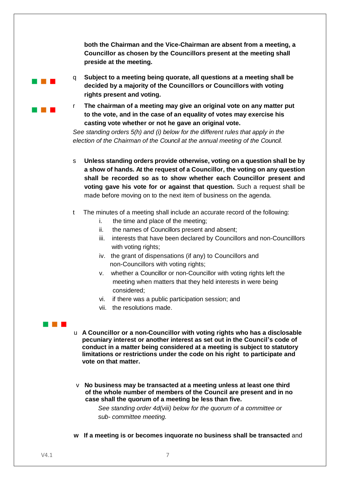**both the Chairman and the Vice-Chairman are absent from a meeting, a Councillor as chosen by the Councillors present at the meeting shall preside at the meeting.**

- q **Subject to a meeting being quorate, all questions at a meeting shall be decided by a majority of the Councillors or Councillors with voting rights present and voting.**
- r **The chairman of a meeting may give an original vote on any matter put to the vote, and in the case of an equality of votes may exercise his casting vote whether or not he gave an original vote.**

*See standing orders 5(h) and (i) below for the different rules that apply in the election of the Chairman of the Council at the annual meeting of the Council.*

- s **Unless standing orders provide otherwise, voting on a question shall be by a show of hands. At the request of a Councillor, the voting on any question shall be recorded so as to show whether each Councillor present and voting gave his vote for or against that question.** Such a request shall be made before moving on to the next item of business on the agenda.
- t The minutes of a meeting shall include an accurate record of the following:
	- i. the time and place of the meeting;
	- ii. the names of Councillors present and absent;
	- iii. interests that have been declared by Councillors and non-Councilllors with voting rights;
	- iv. the grant of dispensations (if any) to Councillors and non-Councillors with voting rights;
	- v. whether a Councillor or non-Councillor with voting rights left the meeting when matters that they held interests in were being considered;
	- vi. if there was a public participation session; and
	- vii. the resolutions made.

#### a a shekara

a di Bandar

**The Company** 

- u **A Councillor or a non-Councillor with voting rights who has a disclosable pecuniary interest or another interest as set out in the Council's code of conduct in a matter being considered at a meeting is subject to statutory limitations or restrictions under the code on his right to participate and vote on that matter.**
- v **No business may be transacted at a meeting unless at least one third of the whole number of members of the Council are present and in no case shall the quorum of a meeting be less than five.**

*See standing order 4d(viii) below for the quorum of a committee or sub- committee meeting.*

 **w If a meeting is or becomes inquorate no business shall be transacted** and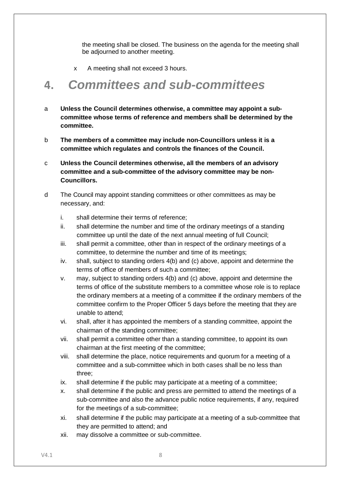the meeting shall be closed. The business on the agenda for the meeting shall be adjourned to another meeting.

x A meeting shall not exceed 3 hours.

### **4.** *Committees and sub-committees*

- a **Unless the Council determines otherwise, a committee may appoint a subcommittee whose terms of reference and members shall be determined by the committee.**
- b **The members of a committee may include non-Councillors unless it is a committee which regulates and controls the finances of the Council.**
- c **Unless the Council determines otherwise, all the members of an advisory committee and a sub-committee of the advisory committee may be non-Councillors.**
- d The Council may appoint standing committees or other committees as may be necessary, and:
	- i. shall determine their terms of reference;
	- ii. shall determine the number and time of the ordinary meetings of a standing committee up until the date of the next annual meeting of full Council;
	- iii. shall permit a committee, other than in respect of the ordinary meetings of a committee, to determine the number and time of its meetings;
	- iv. shall, subject to standing orders 4(b) and (c) above, appoint and determine the terms of office of members of such a committee;
	- v. may, subject to standing orders 4(b) and (c) above, appoint and determine the terms of office of the substitute members to a committee whose role is to replace the ordinary members at a meeting of a committee if the ordinary members of the committee confirm to the Proper Officer 5 days before the meeting that they are unable to attend;
	- vi. shall, after it has appointed the members of a standing committee, appoint the chairman of the standing committee;
	- vii. shall permit a committee other than a standing committee, to appoint its own chairman at the first meeting of the committee;
	- viii. shall determine the place, notice requirements and quorum for a meeting of a committee and a sub-committee which in both cases shall be no less than three;
	- ix. shall determine if the public may participate at a meeting of a committee;
	- x. shall determine if the public and press are permitted to attend the meetings of a sub-committee and also the advance public notice requirements, if any, required for the meetings of a sub-committee;
	- xi. shall determine if the public may participate at a meeting of a sub-committee that they are permitted to attend; and
	- xii. may dissolve a committee or sub-committee.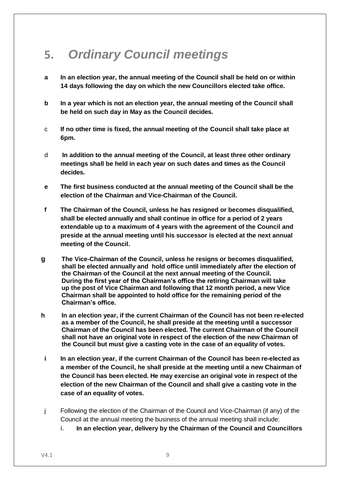### **5.** *Ordinary Council meetings*

- **a In an election year, the annual meeting of the Council shall be held on or within 14 days following the day on which the new Councillors elected take office.**
- **b In a year which is not an election year, the annual meeting of the Council shall be held on such day in May as the Council decides.**
- c **If no other time is fixed, the annual meeting of the Council shall take place at 6pm.**
- d **In addition to the annual meeting of the Council, at least three other ordinary meetings shall be held in each year on such dates and times as the Council decides.**
- **e The first business conducted at the annual meeting of the Council shall be the election of the Chairman and Vice-Chairman of the Council.**
- **f The Chairman of the Council, unless he has resigned or becomes disqualified, shall be elected annually and shall continue in office for a period of 2 years extendable up to a maximum of 4 years with the agreement of the Council and preside at the annual meeting until his successor is elected at the next annual meeting of the Council.**
- **g The Vice-Chairman of the Council, unless he resigns or becomes disqualified, shall be elected annually and hold office until immediately after the election of the Chairman of the Council at the next annual meeting of the Council. During the first year of the Chairman's office the retiring Chairman will take up the post of Vice Chairman and following that 12 month period, a new Vice Chairman shall be appointed to hold office for the remaining period of the Chairman's office.**
- **h In an election year, if the current Chairman of the Council has not been re-elected as a member of the Council, he shall preside at the meeting until a successor Chairman of the Council has been elected. The current Chairman of the Council shall not have an original vote in respect of the election of the new Chairman of the Council but must give a casting vote in the case of an equality of votes.**
- **i In an election year, if the current Chairman of the Council has been re-elected as a member of the Council, he shall preside at the meeting until a new Chairman of the Council has been elected. He may exercise an original vote in respect of the election of the new Chairman of the Council and shall give a casting vote in the case of an equality of votes.**
- j Following the election of the Chairman of the Council and Vice-Chairman (if any) of the Council at the annual meeting the business of the annual meeting shall include:
	- i. **In an election year, delivery by the Chairman of the Council and Councillors**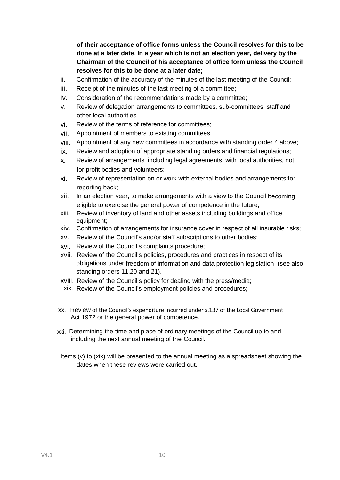**of their acceptance of office forms unless the Council resolves for this to be done at a later date**. **In a year which is not an election year, delivery by the Chairman of the Council of his acceptance of office form unless the Council resolves for this to be done at a later date;**

- ii. Confirmation of the accuracy of the minutes of the last meeting of the Council;
- iii. Receipt of the minutes of the last meeting of a committee;
- iv. Consideration of the recommendations made by a committee;
- v. Review of delegation arrangements to committees, sub-committees, staff and other local authorities;
- vi. Review of the terms of reference for committees;
- vii. Appointment of members to existing committees;
- viii. Appointment of any new committees in accordance with standing order 4 above;
- ix. Review and adoption of appropriate standing orders and financial regulations;
- x. Review of arrangements, including legal agreements, with local authorities, not for profit bodies and volunteers;
- xi. Review of representation on or work with external bodies and arrangements for reporting back;
- xii. In an election year, to make arrangements with a view to the Council becoming eligible to exercise the general power of competence in the future;
- xiii. Review of inventory of land and other assets including buildings and office equipment;
- xiv. Confirmation of arrangements for insurance cover in respect of all insurable risks;
- xv. Review of the Council's and/or staff subscriptions to other bodies;
- xvi. Review of the Council's complaints procedure;
- xvii. Review of the Council's policies, procedures and practices in respect of its obligations under freedom of information and data protection legislation; (see also standing orders 11,20 and 21).
- xviii. Review of the Council's policy for dealing with the press/media;
- xix. Review of the Council's employment policies and procedures;
- xx. Review of the Council's expenditure incurred under s.137 of the Local Government Act 1972 or the general power of competence.
- xxi. Determining the time and place of ordinary meetings of the Council up to and including the next annual meeting of the Council.
- Items (v) to (xix) will be presented to the annual meeting as a spreadsheet showing the dates when these reviews were carried out.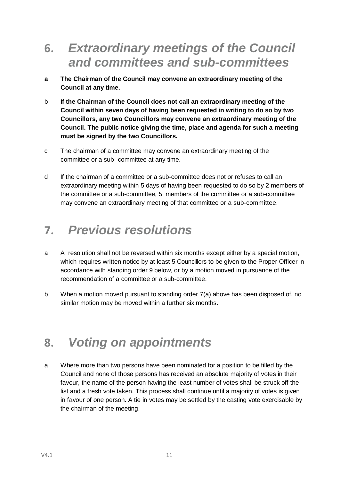### **6.** *Extraordinary meetings of the Council and committees and sub-committees*

- **a The Chairman of the Council may convene an extraordinary meeting of the Council at any time.**
- b **If the Chairman of the Council does not call an extraordinary meeting of the Council within seven days of having been requested in writing to do so by two Councillors, any two Councillors may convene an extraordinary meeting of the Council. The public notice giving the time, place and agenda for such a meeting must be signed by the two Councillors.**
- c The chairman of a committee may convene an extraordinary meeting of the committee or a sub -committee at any time.
- d If the chairman of a committee or a sub-committee does not or refuses to call an extraordinary meeting within 5 days of having been requested to do so by 2 members of the committee or a sub-committee, 5 members of the committee or a sub-committee may convene an extraordinary meeting of that committee or a sub-committee.

### **7.** *Previous resolutions*

- a A resolution shall not be reversed within six months except either by a special motion, which requires written notice by at least 5 Councillors to be given to the Proper Officer in accordance with standing order 9 below, or by a motion moved in pursuance of the recommendation of a committee or a sub-committee.
- b When a motion moved pursuant to standing order 7(a) above has been disposed of, no similar motion may be moved within a further six months.

### **8.** *Voting on appointments*

a Where more than two persons have been nominated for a position to be filled by the Council and none of those persons has received an absolute majority of votes in their favour, the name of the person having the least number of votes shall be struck off the list and a fresh vote taken. This process shall continue until a majority of votes is given in favour of one person. A tie in votes may be settled by the casting vote exercisable by the chairman of the meeting.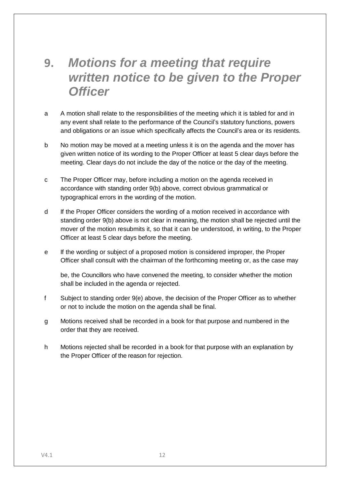### **9.** *Motions for a meeting that require written notice to be given to the Proper Officer*

- a A motion shall relate to the responsibilities of the meeting which it is tabled for and in any event shall relate to the performance of the Council's statutory functions, powers and obligations or an issue which specifically affects the Council's area or its residents.
- b No motion may be moved at a meeting unless it is on the agenda and the mover has given written notice of its wording to the Proper Officer at least 5 clear days before the meeting. Clear days do not include the day of the notice or the day of the meeting.
- c The Proper Officer may, before including a motion on the agenda received in accordance with standing order 9(b) above, correct obvious grammatical or typographical errors in the wording of the motion.
- d If the Proper Officer considers the wording of a motion received in accordance with standing order 9(b) above is not clear in meaning, the motion shall be rejected until the mover of the motion resubmits it, so that it can be understood, in writing, to the Proper Officer at least 5 clear days before the meeting.
- e If the wording or subject of a proposed motion is considered improper, the Proper Officer shall consult with the chairman of the forthcoming meeting or, as the case may

be, the Councillors who have convened the meeting, to consider whether the motion shall be included in the agenda or rejected.

- f Subject to standing order 9(e) above, the decision of the Proper Officer as to whether or not to include the motion on the agenda shall be final.
- g Motions received shall be recorded in a book for that purpose and numbered in the order that they are received.
- h Motions rejected shall be recorded in a book for that purpose with an explanation by the Proper Officer of the reason for rejection.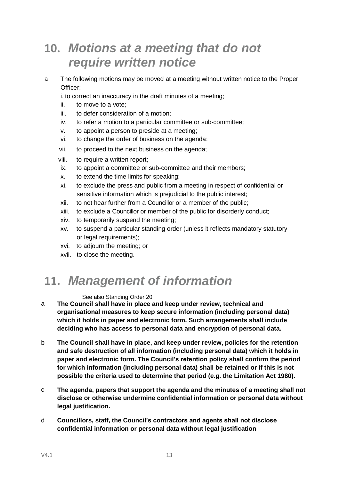### **10.** *Motions at a meeting that do not require written notice*

a The following motions may be moved at a meeting without written notice to the Proper Officer;

i. to correct an inaccuracy in the draft minutes of a meeting;

- ii. to move to a vote;
- iii. to defer consideration of a motion;
- iv. to refer a motion to a particular committee or sub-committee;
- v. to appoint a person to preside at a meeting;
- vi. to change the order of business on the agenda;
- vii. to proceed to the next business on the agenda;
- viii. to require a written report;
- ix. to appoint a committee or sub-committee and their members;
- x. to extend the time limits for speaking;
- xi. to exclude the press and public from a meeting in respect of confidential or sensitive information which is prejudicial to the public interest;
- xii. to not hear further from a Councillor or a member of the public;
- xiii. to exclude a Councillor or member of the public for disorderly conduct;
- xiv. to temporarily suspend the meeting;
- xv. to suspend a particular standing order (unless it reflects mandatory statutory or legal requirements);
- xvi. to adjourn the meeting; or
- xvii. to close the meeting.

### **11.** *Management of information*

#### See also Standing Order 20

- a **The Council shall have in place and keep under review, technical and organisational measures to keep secure information (including personal data) which it holds in paper and electronic form. Such arrangements shall include deciding who has access to personal data and encryption of personal data.**
- b **The Council shall have in place, and keep under review, policies for the retention and safe destruction of all information (including personal data) which it holds in paper and electronic form. The Council's retention policy shall confirm the period for which information (including personal data) shall be retained or if this is not possible the criteria used to determine that period (e.g. the Limitation Act 1980).**
- c **The agenda, papers that support the agenda and the minutes of a meeting shall not disclose or otherwise undermine confidential information or personal data without legal justification.**
- d **Councillors, staff, the Council's contractors and agents shall not disclose confidential information or personal data without legal justification**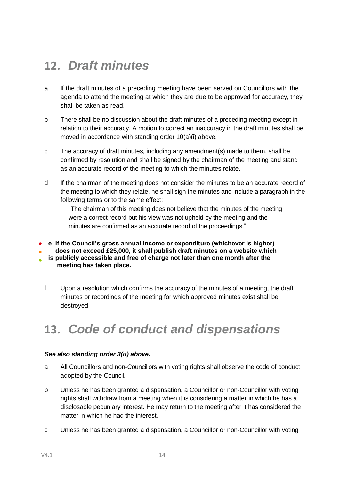### **12.** *Draft minutes*

- a If the draft minutes of a preceding meeting have been served on Councillors with the agenda to attend the meeting at which they are due to be approved for accuracy, they shall be taken as read.
- b There shall be no discussion about the draft minutes of a preceding meeting except in relation to their accuracy. A motion to correct an inaccuracy in the draft minutes shall be moved in accordance with standing order 10(a)(i) above.
- c The accuracy of draft minutes, including any amendment(s) made to them, shall be confirmed by resolution and shall be signed by the chairman of the meeting and stand as an accurate record of the meeting to which the minutes relate.
- d If the chairman of the meeting does not consider the minutes to be an accurate record of the meeting to which they relate, he shall sign the minutes and include a paragraph in the following terms or to the same effect:

"The chairman of this meeting does not believe that the minutes of the meeting were a correct record but his view was not upheld by the meeting and the minutes are confirmed as an accurate record of the proceedings."

- **e If the Council's gross annual income or expenditure (whichever is higher)**
- **does not exceed £25,000, it shall publish draft minutes on a website which**
- **is publicly accessible and free of charge not later than one month after the meeting has taken place.**
	- f Upon a resolution which confirms the accuracy of the minutes of a meeting, the draft minutes or recordings of the meeting for which approved minutes exist shall be destroyed.

## **13.** *Code of conduct and dispensations*

#### *See also standing order 3(u) above.*

- a All Councillors and non-Councillors with voting rights shall observe the code of conduct adopted by the Council.
- b Unless he has been granted a dispensation, a Councillor or non-Councillor with voting rights shall withdraw from a meeting when it is considering a matter in which he has a disclosable pecuniary interest. He may return to the meeting after it has considered the matter in which he had the interest.
- c Unless he has been granted a dispensation, a Councillor or non-Councillor with voting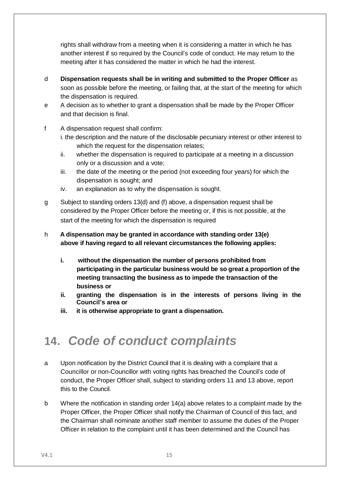rights shall withdraw from a meeting when it is considering a matter in which he has another interest if so required by the Council's code of conduct. He may return to the meeting after it has considered the matter in which he had the interest.

- d **Dispensation requests shall be in writing and submitted to the Proper Officer** as soon as possible before the meeting, or failing that, at the start of the meeting for which the dispensation is required*.*
- e A decision as to whether to grant a dispensation shall be made by the Proper Officer and that decision is final.
- f A dispensation request shall confirm:
	- i. the description and the nature of the disclosable pecuniary interest or other interest to which the request for the dispensation relates;
	- ii. whether the dispensation is required to participate at a meeting in a discussion only or a discussion and a vote;
	- iii. the date of the meeting or the period (not exceeding four years) for which the dispensation is sought; and
	- iv. an explanation as to why the dispensation is sought.
- g Subject to standing orders 13(d) and (f) above, a dispensation request shall be considered by the Proper Officer before the meeting or, if this is not possible, at the start of the meeting for which the dispensation is required

#### h **A dispensation may be granted in accordance with standing order 13(e) above if having regard to all relevant circumstances the following applies:**

- **i. without the dispensation the number of persons prohibited from participating in the particular business would be so great a proportion of the meeting transacting the business as to impede the transaction of the business or**
- **ii. granting the dispensation is in the interests of persons living in the Council's area or**
- **iii. it is otherwise appropriate to grant a dispensation.**

## **14.** *Code of conduct complaints*

- a Upon notification by the District Council that it is dealing with a complaint that a Councillor or non-Councillor with voting rights has breached the Council's code of conduct, the Proper Officer shall, subject to standing orders 11 and 13 above, report this to the Council.
- b Where the notification in standing order 14(a) above relates to a complaint made by the Proper Officer, the Proper Officer shall notify the Chairman of Council of this fact, and the Chairman shall nominate another staff member to assume the duties of the Proper Officer in relation to the complaint until it has been determined and the Council has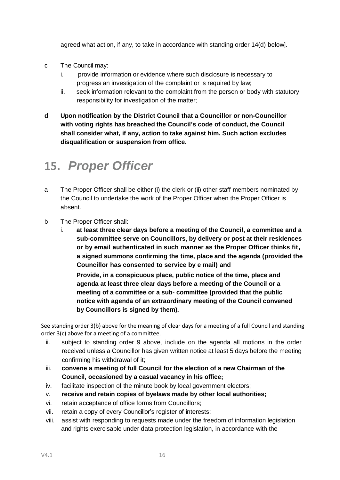agreed what action, if any, to take in accordance with standing order 14(d) below].

- c The Council may:
	- i. provide information or evidence where such disclosure is necessary to progress an investigation of the complaint or is required by law;
	- ii. seek information relevant to the complaint from the person or body with statutory responsibility for investigation of the matter;
- **d Upon notification by the District Council that a Councillor or non-Councillor with voting rights has breached the Council's code of conduct, the Council shall consider what, if any, action to take against him. Such action excludes disqualification or suspension from office.**

### **15.** *Proper Officer*

- a The Proper Officer shall be either (i) the clerk or (ii) other staff members nominated by the Council to undertake the work of the Proper Officer when the Proper Officer is absent.
- b The Proper Officer shall:
	- i. **at least three clear days before a meeting of the Council, a committee and a sub-committee serve on Councillors, by delivery or post at their residences or by email authenticated in such manner as the Proper Officer thinks fit, a signed summons confirming the time, place and the agenda (provided the Councillor has consented to service by e mail) and**

**Provide, in a conspicuous place, public notice of the time, place and agenda at least three clear days before a meeting of the Council or a meeting of a committee or a sub- committee (provided that the public notice with agenda of an extraordinary meeting of the Council convened by Councillors is signed by them).**

See standing order 3(b) above for the meaning of clear days for a meeting of a full Council and standing order 3(c) above for a meeting of a committee.

- ii. subject to standing order 9 above, include on the agenda all motions in the order received unless a Councillor has given written notice at least 5 days before the meeting confirming his withdrawal of it;
- iii. **convene a meeting of full Council for the election of a new Chairman of the Council, occasioned by a casual vacancy in his office;**
- iv. facilitate inspection of the minute book by local government electors;
- v. **receive and retain copies of byelaws made by other local authorities;**
- vi. retain acceptance of office forms from Councillors;
- vii. retain a copy of every Councillor's register of interests;
- viii. assist with responding to requests made under the freedom of information legislation and rights exercisable under data protection legislation, in accordance with the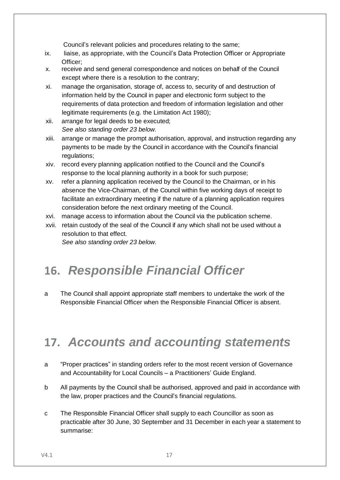Council's relevant policies and procedures relating to the same;

- ix. liaise, as appropriate, with the Council's Data Protection Officer or Appropriate Officer;
- x. receive and send general correspondence and notices on behalf of the Council except where there is a resolution to the contrary;
- xi. manage the organisation, storage of, access to, security of and destruction of information held by the Council in paper and electronic form subject to the requirements of data protection and freedom of information legislation and other legitimate requirements (e.g. the Limitation Act 1980);
- xii. arrange for legal deeds to be executed; *See also standing order 23 below.*
- xiii. arrange or manage the prompt authorisation, approval, and instruction regarding any payments to be made by the Council in accordance with the Council's financial regulations;
- xiv. record every planning application notified to the Council and the Council's response to the local planning authority in a book for such purpose;
- xv. refer a planning application received by the Council to the Chairman, or in his absence the Vice-Chairman, of the Council within five working days of receipt to facilitate an extraordinary meeting if the nature of a planning application requires consideration before the next ordinary meeting of the Council.
- xvi. manage access to information about the Council via the publication scheme.
- xvii. retain custody of the seal of the Council if any which shall not be used without a resolution to that effect.

*See also standing order 23 below.*

# **16.** *Responsible Financial Officer*

a The Council shall appoint appropriate staff members to undertake the work of the Responsible Financial Officer when the Responsible Financial Officer is absent.

### **17.** *Accounts and accounting statements*

- a "Proper practices" in standing orders refer to the most recent version of Governance and Accountability for Local Councils – a Practitioners' Guide England.
- b All payments by the Council shall be authorised, approved and paid in accordance with the law, proper practices and the Council's financial regulations.
- c The Responsible Financial Officer shall supply to each Councillor as soon as practicable after 30 June, 30 September and 31 December in each year a statement to summarise: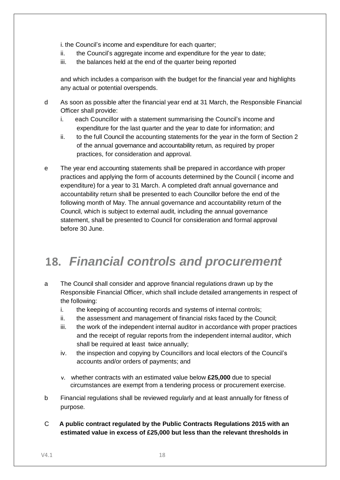i. the Council's income and expenditure for each quarter;

- ii. the Council's aggregate income and expenditure for the year to date;
- iii. the balances held at the end of the quarter being reported

and which includes a comparison with the budget for the financial year and highlights any actual or potential overspends.

- d As soon as possible after the financial year end at 31 March, the Responsible Financial Officer shall provide:
	- i. each Councillor with a statement summarising the Council's income and expenditure for the last quarter and the year to date for information; and
	- ii. to the full Council the accounting statements for the year in the form of Section 2 of the annual governance and accountability return, as required by proper practices, for consideration and approval.
- e The year end accounting statements shall be prepared in accordance with proper practices and applying the form of accounts determined by the Council ( income and expenditure) for a year to 31 March. A completed draft annual governance and accountability return shall be presented to each Councillor before the end of the following month of May. The annual governance and accountability return of the Council, which is subject to external audit, including the annual governance statement, shall be presented to Council for consideration and formal approval before 30 June.

## **18.** *Financial controls and procurement*

- a The Council shall consider and approve financial regulations drawn up by the Responsible Financial Officer, which shall include detailed arrangements in respect of the following:
	- i. the keeping of accounting records and systems of internal controls;
	- ii. the assessment and management of financial risks faced by the Council;
	- iii. the work of the independent internal auditor in accordance with proper practices and the receipt of regular reports from the independent internal auditor, which shall be required at least twice annually;
	- iv. the inspection and copying by Councillors and local electors of the Council's accounts and/or orders of payments; and
	- v. whether contracts with an estimated value below **£25,000** due to special circumstances are exempt from a tendering process or procurement exercise.
- b Financial regulations shall be reviewed regularly and at least annually for fitness of purpose.
- C **A public contract regulated by the Public Contracts Regulations 2015 with an estimated value in excess of £25,000 but less than the relevant thresholds in**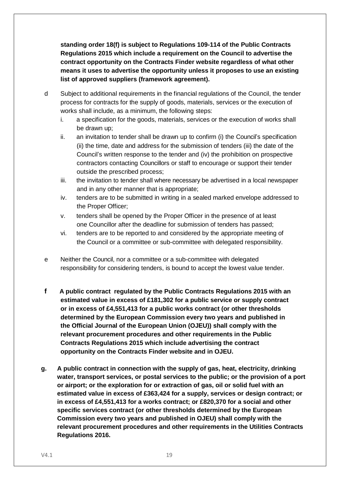**standing order 18(f) is subject to Regulations 109-114 of the Public Contracts Regulations 2015 which include a requirement on the Council to advertise the contract opportunity on the Contracts Finder website regardless of what other means it uses to advertise the opportunity unless it proposes to use an existing list of approved suppliers (framework agreement).**

- d Subject to additional requirements in the financial regulations of the Council, the tender process for contracts for the supply of goods, materials, services or the execution of works shall include, as a minimum, the following steps:
	- i. a specification for the goods, materials, services or the execution of works shall be drawn up;
	- ii. an invitation to tender shall be drawn up to confirm (i) the Council's specification (ii) the time, date and address for the submission of tenders (iii) the date of the Council's written response to the tender and (iv) the prohibition on prospective contractors contacting Councillors or staff to encourage or support their tender outside the prescribed process;
	- iii. the invitation to tender shall where necessary be advertised in a local newspaper and in any other manner that is appropriate;
	- iv. tenders are to be submitted in writing in a sealed marked envelope addressed to the Proper Officer;
	- v. tenders shall be opened by the Proper Officer in the presence of at least one Councillor after the deadline for submission of tenders has passed;
	- vi. tenders are to be reported to and considered by the appropriate meeting of the Council or a committee or sub-committee with delegated responsibility.
- e Neither the Council, nor a committee or a sub-committee with delegated responsibility for considering tenders, is bound to accept the lowest value tender.
- **f A public contract regulated by the Public Contracts Regulations 2015 with an estimated value in excess of £181,302 for a public service or supply contract or in excess of £4,551,413 for a public works contract (or other thresholds determined by the European Commission every two years and published in the Official Journal of the European Union (OJEU)) shall comply with the relevant procurement procedures and other requirements in the Public Contracts Regulations 2015 which include advertising the contract opportunity on the Contracts Finder website and in OJEU.**
- **g. A public contract in connection with the supply of gas, heat, electricity, drinking water, transport services, or postal services to the public; or the provision of a port or airport; or the exploration for or extraction of gas, oil or solid fuel with an estimated value in excess of £363,424 for a supply, services or design contract; or in excess of £4,551,413 for a works contract; or £820,370 for a social and other specific services contract (or other thresholds determined by the European Commission every two years and published in OJEU) shall comply with the relevant procurement procedures and other requirements in the Utilities Contracts Regulations 2016.**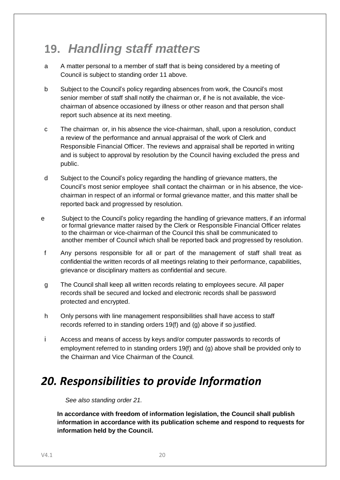## **19.** *Handling staff matters*

- a A matter personal to a member of staff that is being considered by a meeting of Council is subject to standing order 11 above.
- b Subject to the Council's policy regarding absences from work, the Council's most senior member of staff shall notify the chairman or, if he is not available, the vicechairman of absence occasioned by illness or other reason and that person shall report such absence at its next meeting.
- c The chairman or, in his absence the vice-chairman, shall, upon a resolution, conduct a review of the performance and annual appraisal of the work of Clerk and Responsible Financial Officer. The reviews and appraisal shall be reported in writing and is subject to approval by resolution by the Council having excluded the press and public.
- d Subject to the Council's policy regarding the handling of grievance matters, the Council's most senior employee shall contact the chairman or in his absence, the vicechairman in respect of an informal or formal grievance matter, and this matter shall be reported back and progressed by resolution.
- e Subject to the Council's policy regarding the handling of grievance matters, if an informal or formal grievance matter raised by the Clerk or Responsible Financial Officer relates to the chairman or vice-chairman of the Council this shall be communicated to another member of Council which shall be reported back and progressed by resolution.
- f Any persons responsible for all or part of the management of staff shall treat as confidential the written records of all meetings relating to their performance, capabilities, grievance or disciplinary matters as confidential and secure.
- g The Council shall keep all written records relating to employees secure. All paper records shall be secured and locked and electronic records shall be password protected and encrypted.
- h Only persons with line management responsibilities shall have access to staff records referred to in standing orders 19(f) and (g) above if so justified.
- i Access and means of access by keys and/or computer passwords to records of employment referred to in standing orders 19(f) and (g) above shall be provided only to the Chairman and Vice Chairman of the Council.

### *20. Responsibilities to provide Information*

*See also standing order 21.*

**In accordance with freedom of information legislation, the Council shall publish information in accordance with its publication scheme and respond to requests for information held by the Council.**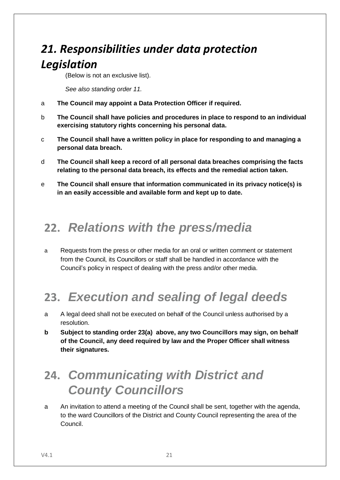## *21. Responsibilities under data protection Legislation*

(Below is not an exclusive list).

*See also standing order 11.*

- a **The Council may appoint a Data Protection Officer if required.**
- b **The Council shall have policies and procedures in place to respond to an individual exercising statutory rights concerning his personal data.**
- c **The Council shall have a written policy in place for responding to and managing a personal data breach.**
- d **The Council shall keep a record of all personal data breaches comprising the facts relating to the personal data breach, its effects and the remedial action taken.**
- e **The Council shall ensure that information communicated in its privacy notice(s) is in an easily accessible and available form and kept up to date.**

### **22.** *Relations with the press/media*

a Requests from the press or other media for an oral or written comment or statement from the Council, its Councillors or staff shall be handled in accordance with the Council's policy in respect of dealing with the press and/or other media.

# **23.** *Execution and sealing of legal deeds*

- a A legal deed shall not be executed on behalf of the Council unless authorised by a resolution.
- **b Subject to standing order 23(a) above, any two Councillors may sign, on behalf of the Council, any deed required by law and the Proper Officer shall witness their signatures.**

## **24.** *Communicating with District and County Councillors*

a An invitation to attend a meeting of the Council shall be sent, together with the agenda, to the ward Councillors of the District and County Council representing the area of the Council.